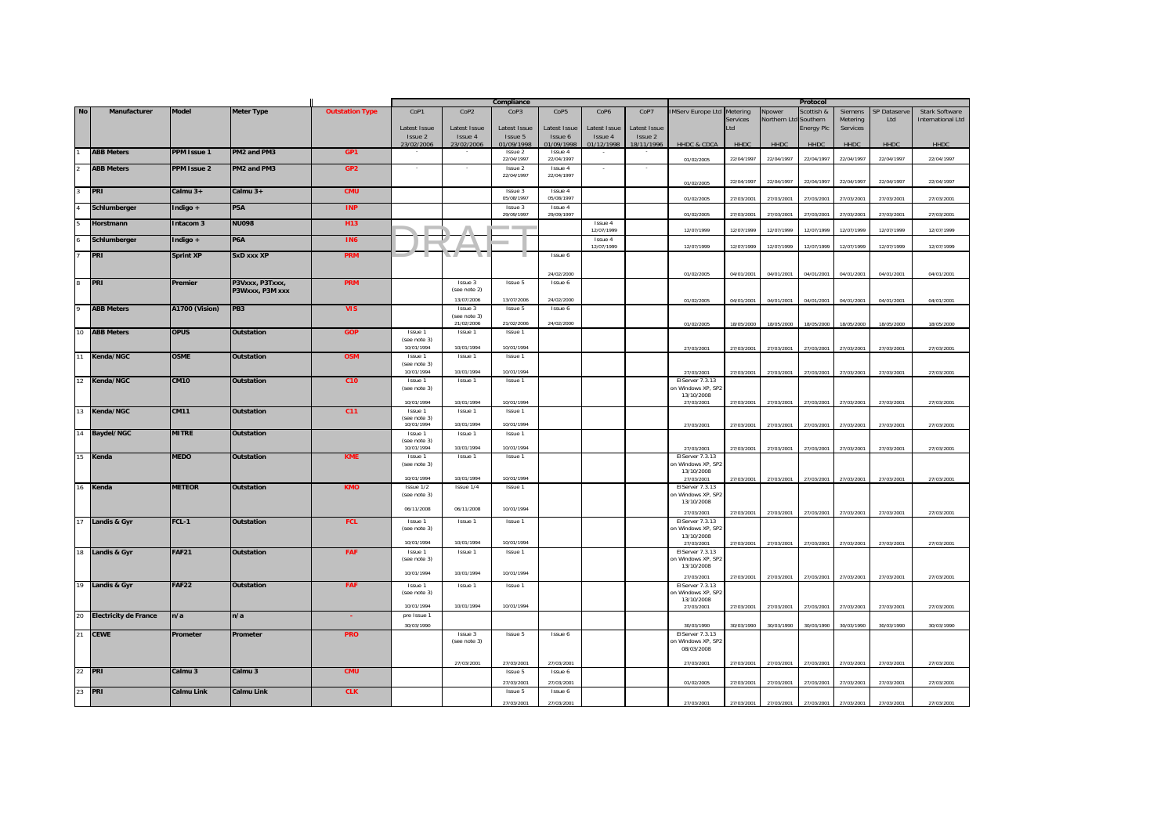|                |                          |                    |                    |                        | Compliance                 |                  |                       |                       |              | Protocol     |                                   |            |              |                   |            |              |                          |
|----------------|--------------------------|--------------------|--------------------|------------------------|----------------------------|------------------|-----------------------|-----------------------|--------------|--------------|-----------------------------------|------------|--------------|-------------------|------------|--------------|--------------------------|
| <b>No</b>      | Manufacturer             | <b>Model</b>       | <b>Meter Type</b>  | <b>Outstation Type</b> | CoP1                       | CoP <sub>2</sub> | CoP3                  | CoP <sub>5</sub>      | CoP6         | CoP7         | <b>IMServ Europe Ltd Metering</b> |            | Npower       | Scottish &        | Siemens    | SP Dataserve | <b>Stark Software</b>    |
|                |                          |                    |                    |                        |                            |                  |                       |                       |              |              |                                   | Services   | Northern Ltd | Southern          | Metering   | Ltd          | <b>International Ltd</b> |
|                |                          |                    |                    |                        | Latest Issue               | Latest Issue     | Latest Issue          | Latest Issue          | Latest Issue | Latest Issue |                                   | Ltd        |              | <b>Energy Plc</b> | Services   |              |                          |
|                |                          |                    |                    |                        | Issue 2                    | Issue 4          | Issue 5               | Issue 6               | Issue 4      | Issue 2      |                                   |            |              |                   |            |              |                          |
|                |                          |                    |                    |                        | 23/02/2006                 | 23/02/2006       | 01/09/1998            | 01/09/1998            | 01/12/1998   | 18/11/1996   | HHDC & CDCA                       | HHDC       | HHDC         | HHDC              | HHDC       | <b>HHDC</b>  | <b>HHDC</b>              |
|                | <b>ABB Meters</b>        | PPM Issue 1        | PM2 and PM3        | GP <sub>1</sub>        |                            |                  | Issue 2<br>22/04/1997 | Issue 4<br>22/04/1997 |              |              |                                   | 22/04/1997 | 22/04/1997   | 22/04/1997        | 22/04/1997 | 22/04/1997   | 22/04/1997               |
|                |                          | <b>PPM Issue 2</b> |                    |                        |                            |                  | Issue 2               | Issue 4               |              |              | 01/02/2005                        |            |              |                   |            |              |                          |
|                | <b>ABB Meters</b>        |                    | PM2 and PM3        | GP <sub>2</sub>        |                            |                  | 22/04/1997            | 22/04/1997            |              |              |                                   |            |              |                   |            |              |                          |
|                |                          |                    |                    |                        |                            |                  |                       |                       |              |              | 01/02/2005                        | 22/04/1997 | 22/04/1997   | 22/04/1997        | 22/04/1997 | 22/04/1997   | 22/04/1997               |
| $\overline{3}$ | PRI                      | Calmu 3+           | Calmu $3+$         | <b>CMU</b>             |                            |                  | Issue 3               | Issue 4               |              |              |                                   |            |              |                   |            |              |                          |
|                |                          |                    |                    |                        |                            |                  | 05/08/1997            | 05/08/1997            |              |              | 01/02/2005                        | 27/03/2001 | 27/03/2001   | 27/03/2001        | 27/03/2001 | 27/03/2001   | 27/03/2001               |
|                | Schlumberger             | Indigo +           | <b>P5A</b>         | <b>INP</b>             |                            |                  | Issue 3               | Issue 4               |              |              |                                   |            |              |                   |            |              |                          |
|                |                          |                    |                    |                        |                            |                  | 29/09/1997            | 29/09/1997            |              |              | 01/02/2005                        | 27/03/2001 | 27/03/2001   | 27/03/2001        | 27/03/2001 | 27/03/2001   | 27/03/2001               |
|                | Horstmann                | Intacom 3          | <b>NU098</b>       | H <sub>13</sub>        |                            |                  | <b>STATISTICS</b>     |                       | Issue 4      |              |                                   |            |              |                   |            |              |                          |
|                |                          |                    |                    |                        |                            |                  |                       |                       | 12/07/1999   |              | 12/07/1999                        | 12/07/1999 | 12/07/1999   | 12/07/1999        | 12/07/1999 | 12/07/1999   | 12/07/1999               |
|                | Schlumberger             | Indigo +           | <b>P6A</b>         | <b>IN6</b>             |                            |                  |                       |                       | Issue 4      |              |                                   |            |              |                   |            |              |                          |
|                |                          |                    |                    |                        |                            |                  |                       |                       | 12/07/1999   |              | 12/07/1999                        | 12/07/1999 | 12/07/1999   | 12/07/1999        | 12/07/1999 | 12/07/1999   | 12/07/1999               |
|                | PRI                      | <b>Sprint XP</b>   | SxD xxx XP         | <b>PRM</b>             |                            |                  |                       | Issue 6               |              |              |                                   |            |              |                   |            |              |                          |
|                |                          |                    |                    |                        |                            |                  |                       |                       |              |              |                                   |            |              |                   |            |              |                          |
|                |                          |                    |                    |                        |                            |                  |                       | 24/02/2000            |              |              | 01/02/2005                        | 04/01/2001 | 04/01/2001   | 04/01/2001        | 04/01/2001 | 04/01/2001   | 04/01/2001               |
|                | PRI                      | Premier            | P3Vxxx, P3Txxx,    | <b>PRM</b>             |                            | Issue 3          | Issue 5               | Issue 6               |              |              |                                   |            |              |                   |            |              |                          |
|                |                          |                    | P3Wxxx, P3M xxx    |                        |                            | (see note 2)     |                       |                       |              |              |                                   |            |              |                   |            |              |                          |
|                |                          |                    |                    |                        |                            | 13/07/2006       | 13/07/2006            | 24/02/2000            |              |              | 01/02/2005                        | 04/01/2001 | 04/01/2001   | 04/01/2001        | 04/01/2001 | 04/01/2001   | 04/01/2001               |
|                | <b>ABB Meters</b>        | A1700 (Vision)     | PB <sub>3</sub>    | <b>VIS</b>             |                            | Issue 3          | Issue 5               | Issue 6               |              |              |                                   |            |              |                   |            |              |                          |
|                |                          |                    |                    |                        |                            | (see note 3)     |                       |                       |              |              |                                   |            |              |                   |            |              |                          |
|                |                          |                    |                    |                        |                            | 21/02/2006       | 21/02/2006            | 24/02/2000            |              |              | 01/02/2005                        | 18/05/2000 | 18/05/2000   | 18/05/2000        | 18/05/2000 | 18/05/2000   | 18/05/2000               |
|                | 10 ABB Meters            | <b>OPUS</b>        | <b>Outstation</b>  | <b>GOP</b>             | Issue 1<br>(see note 3)    | Issue 1          | Issue 1               |                       |              |              |                                   |            |              |                   |            |              |                          |
|                |                          |                    |                    |                        | 10/01/1994                 | 10/01/1994       | 10/01/1994            |                       |              |              |                                   |            | 27/03/2001   |                   | 27/03/2001 |              |                          |
|                |                          | <b>OSME</b>        |                    | <b>OSM</b>             | Issue 1                    | Issue 1          | Issue 1               |                       |              |              | 27/03/2001                        | 27/03/2001 |              | 27/03/2001        |            | 27/03/2001   | 27/03/2001               |
|                | 11 Kenda/NGC             |                    | <b>Outstation</b>  |                        | (see note 3)               |                  |                       |                       |              |              |                                   |            |              |                   |            |              |                          |
|                |                          |                    |                    |                        | 10/01/1994                 | 10/01/1994       | 10/01/1994            |                       |              |              | 27/03/2001                        | 27/03/2001 | 27/03/2001   | 27/03/2001        | 27/03/2001 | 27/03/2001   | 27/03/2001               |
|                | 12 Kenda/NGC             | <b>CM10</b>        | <b>Outstation</b>  | C <sub>10</sub>        | Issue 1                    | Issue 1          | Issue 1               |                       |              |              | EIServer 7.3.13                   |            |              |                   |            |              |                          |
|                |                          |                    |                    |                        | (see note 3)               |                  |                       |                       |              |              | on Windows XP, SP2                |            |              |                   |            |              |                          |
|                |                          |                    |                    |                        |                            |                  |                       |                       |              |              | 13/10/2008                        |            |              |                   |            |              |                          |
|                |                          |                    |                    |                        | 10/01/1994                 | 10/01/1994       | 10/01/1994            |                       |              |              | 27/03/2001                        | 27/03/2001 | 27/03/2001   | 27/03/2001        | 27/03/2001 | 27/03/2001   | 27/03/2001               |
|                | 13 Kenda/NGC             | <b>CM11</b>        | <b>Outstation</b>  | C <sub>11</sub>        | Issue 1                    | Issue 1          | Issue 1               |                       |              |              |                                   |            |              |                   |            |              |                          |
|                |                          |                    |                    |                        | (see note 3)<br>10/01/1994 | 10/01/1994       | 10/01/1994            |                       |              |              | 27/03/2001                        | 27/03/2001 | 27/03/2001   | 27/03/2001        | 27/03/2001 | 27/03/2001   | 27/03/2001               |
|                | 14 Baydel/NGC            | <b>MITRE</b>       | Outstation         |                        | Issue 1                    | Issue 1          | Issue 1               |                       |              |              |                                   |            |              |                   |            |              |                          |
|                |                          |                    |                    |                        | (see note 3)               |                  |                       |                       |              |              |                                   |            |              |                   |            |              |                          |
|                |                          |                    |                    |                        | 10/01/1994                 | 10/01/1994       | 10/01/1994            |                       |              |              | 27/03/2001                        | 27/03/2001 | 27/03/2001   | 27/03/2001        | 27/03/2001 | 27/03/2001   | 27/03/2001               |
|                | 15 Kenda                 | <b>MEDO</b>        | Outstation         | <b>KME</b>             | Issue 1                    | Issue 1          | Issue 1               |                       |              |              | EIServer 7.3.13                   |            |              |                   |            |              |                          |
|                |                          |                    |                    |                        | (see note 3)               |                  |                       |                       |              |              | on Windows XP, SP2                |            |              |                   |            |              |                          |
|                |                          |                    |                    |                        | 10/01/1994                 | 10/01/1994       | 10/01/1994            |                       |              |              | 13/10/2008                        |            |              |                   |            |              |                          |
|                |                          | <b>METEOR</b>      |                    |                        | Issue 1/2                  | Issue 1/4        |                       |                       |              |              | 27/03/2001<br>EIServer 7.3.13     | 27/03/2001 | 27/03/2001   | 27/03/2001        | 27/03/2001 | 27/03/2001   | 27/03/2001               |
|                | 16 Kenda                 |                    | Outstation         | <b>KMO</b>             | (see note 3)               |                  | Issue 1               |                       |              |              | on Windows XP, SP2                |            |              |                   |            |              |                          |
|                |                          |                    |                    |                        |                            |                  |                       |                       |              |              | 13/10/2008                        |            |              |                   |            |              |                          |
|                |                          |                    |                    |                        | 06/11/2008                 | 06/11/2008       | 10/01/1994            |                       |              |              |                                   |            |              |                   |            |              |                          |
|                |                          | FCL-1              | <b>Outstation</b>  | <b>FCL</b>             | Issue 1                    | Issue 1          | Issue 1               |                       |              |              | 27/03/2001<br>EIServer 7.3.13     | 27/03/2001 | 27/03/2001   | 27/03/2001        | 27/03/2001 | 27/03/2001   | 27/03/2001               |
|                | 17 Landis & Gyr          |                    |                    |                        | (see note 3)               |                  |                       |                       |              |              | on Windows XP, SP2                |            |              |                   |            |              |                          |
|                |                          |                    |                    |                        |                            |                  |                       |                       |              |              | 13/10/2008                        |            |              |                   |            |              |                          |
|                |                          |                    |                    |                        | 10/01/1994                 | 10/01/1994       | 10/01/1994            |                       |              |              | 27/03/2001                        | 27/03/2001 | 27/03/2001   | 27/03/2001        | 27/03/2001 | 27/03/2001   | 27/03/2001               |
|                | 18 Landis & Gyr          | <b>FAF21</b>       | <b>Outstation</b>  | FAF                    | Issue 1                    | Issue 1          | Issue 1               |                       |              |              | EIServer 7.3.13                   |            |              |                   |            |              |                          |
|                |                          |                    |                    |                        | (see note 3)               |                  |                       |                       |              |              | on Windows XP, SP2                |            |              |                   |            |              |                          |
|                |                          |                    |                    |                        | 10/01/1994                 | 10/01/1994       | 10/01/1994            |                       |              |              | 13/10/2008                        |            |              |                   |            |              |                          |
|                |                          |                    |                    |                        |                            |                  |                       |                       |              |              | 27/03/2001                        | 27/03/2001 | 27/03/2001   | 27/03/2001        | 27/03/2001 | 27/03/2001   | 27/03/2001               |
|                | 19 Landis & Gyr          | <b>FAF22</b>       | <b>Outstation</b>  | FAF                    | Issue 1                    | Issue 1          | Issue 1               |                       |              |              | EIServer 7.3.13                   |            |              |                   |            |              |                          |
|                |                          |                    |                    |                        | (see note 3)               |                  |                       |                       |              |              | on Windows XP, SP2                |            |              |                   |            |              |                          |
|                |                          |                    |                    |                        | 10/01/1994                 | 10/01/1994       | 10/01/1994            |                       |              |              | 13/10/2008<br>27/03/2001          | 27/03/2001 | 27/03/2001   | 27/03/2001        | 27/03/2001 | 27/03/2001   | 27/03/2001               |
|                | 20 Electricity de France | n/a                | n/a                |                        | pre Issue 1                |                  |                       |                       |              |              |                                   |            |              |                   |            |              |                          |
|                |                          |                    |                    |                        | 30/03/1990                 |                  |                       |                       |              |              | 30/03/1990                        |            |              |                   |            |              |                          |
|                |                          |                    |                    |                        |                            | Issue 3          | Issue 5               | Issue 6               |              |              | EIServer 7.3.13                   | 30/03/1990 | 30/03/1990   | 30/03/1990        | 30/03/1990 | 30/03/1990   | 30/03/1990               |
|                | 21 CEWE                  | Prometer           | Prometer           | <b>PRO</b>             |                            | (see note 3)     |                       |                       |              |              | on Windows XP, SP2                |            |              |                   |            |              |                          |
|                |                          |                    |                    |                        |                            |                  |                       |                       |              |              | 08/03/2008                        |            |              |                   |            |              |                          |
|                |                          |                    |                    |                        |                            |                  |                       |                       |              |              |                                   |            |              |                   |            |              |                          |
|                |                          |                    |                    |                        |                            | 27/03/2001       | 27/03/2001            | 27/03/2001            |              |              | 27/03/2001                        | 27/03/2001 | 27/03/2001   | 27/03/2001        | 27/03/2001 | 27/03/2001   | 27/03/2001               |
|                | 22 PRI                   | Calmu <sub>3</sub> | Calmu <sub>3</sub> | <b>CMU</b>             |                            |                  | Issue 5               | Issue 6               |              |              |                                   |            |              |                   |            |              |                          |
|                |                          |                    |                    |                        |                            |                  | 27/03/2001            | 27/03/2001            |              |              | 01/02/2005                        | 27/03/2001 | 27/03/2001   | 27/03/2001        | 27/03/2001 | 27/03/2001   | 27/03/2001               |
|                | 23 PRI                   | <b>Calmu Link</b>  | <b>Calmu Link</b>  | <b>CLK</b>             |                            |                  | <b>Issue 5</b>        | Issue 6               |              |              |                                   |            |              |                   |            |              |                          |
|                |                          |                    |                    |                        |                            |                  | 27/03/2001            | 27/03/2001            |              |              | 27/03/2001                        | 27/03/2001 | 27/03/2001   | 27/03/2001        | 27/03/2001 | 27/03/2001   | 27/03/2001               |
|                |                          |                    |                    |                        |                            |                  |                       |                       |              |              |                                   |            |              |                   |            |              |                          |